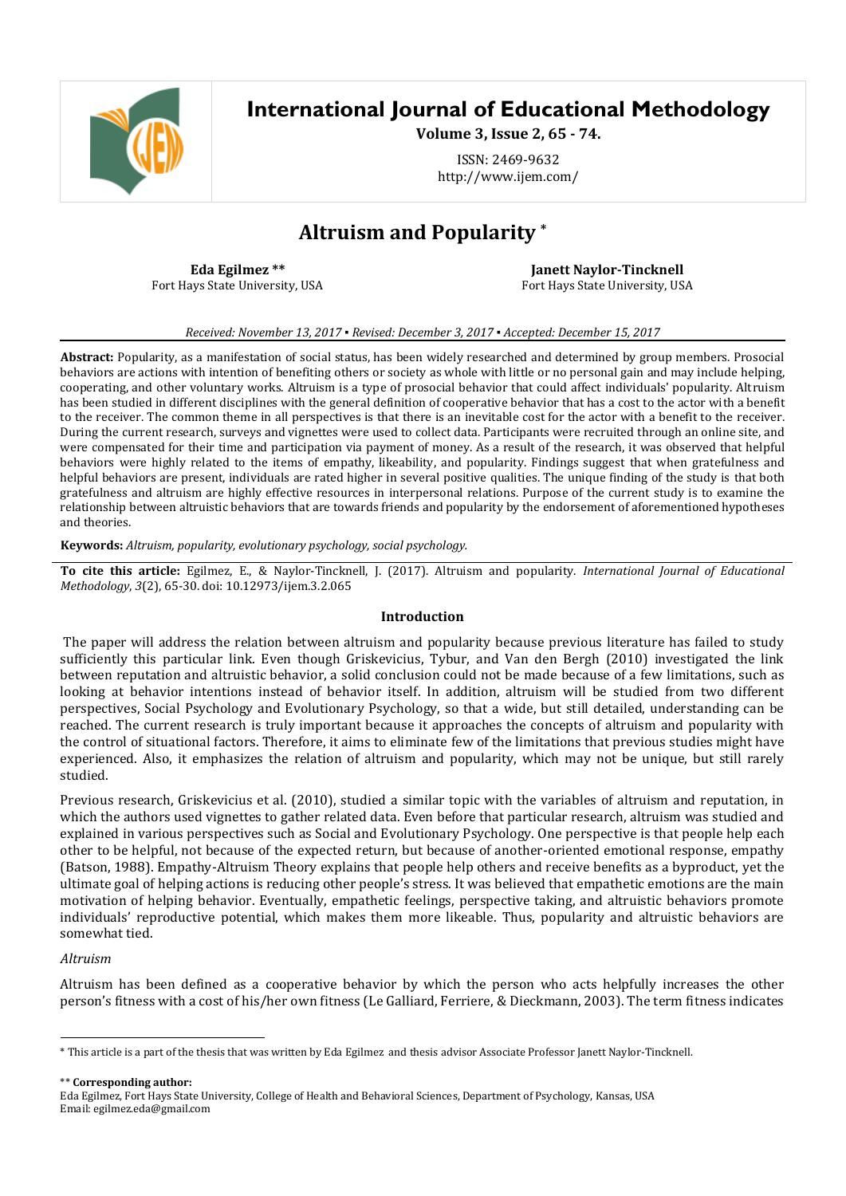

# **International Journal of Educational Methodology**

**Volume 3, Issue 2, 65 - 74.**

ISSN: 2469-9632 http://www.ijem.com/

# **Altruism and Popularity \***

**Eda Egilmez \*\*** Fort Hays State University, USA

**Janett Naylor-Tincknell** Fort Hays State University, USA

*Received: November 13, 2017 ▪ Revised: December 3, 2017 ▪ Accepted: December 15, 2017*

**Abstract:** Popularity, as a manifestation of social status, has been widely researched and determined by group members. Prosocial behaviors are actions with intention of benefiting others or society as whole with little or no personal gain and may include helping, cooperating, and other voluntary works. Altruism is a type of prosocial behavior that could affect individuals' popularity. Altruism has been studied in different disciplines with the general definition of cooperative behavior that has a cost to the actor with a benefit to the receiver. The common theme in all perspectives is that there is an inevitable cost for the actor with a benefit to the receiver. During the current research, surveys and vignettes were used to collect data. Participants were recruited through an online site, and were compensated for their time and participation via payment of money. As a result of the research, it was observed that helpful behaviors were highly related to the items of empathy, likeability, and popularity. Findings suggest that when gratefulness and helpful behaviors are present, individuals are rated higher in several positive qualities. The unique finding of the study is that both gratefulness and altruism are highly effective resources in interpersonal relations. Purpose of the current study is to examine the relationship between altruistic behaviors that are towards friends and popularity by the endorsement of aforementioned hypotheses and theories.

**Keywords:** *Altruism, popularity, evolutionary psychology, social psychology.*

**To cite this article:** Egilmez, E., & Naylor-Tincknell, J. (2017). Altruism and popularity. *International Journal of Educational Methodology*, *3*(2), 65-30. doi: 10.12973/ijem.3.2.065

### **Introduction**

The paper will address the relation between altruism and popularity because previous literature has failed to study sufficiently this particular link. Even though Griskevicius, Tybur, and Van den Bergh (2010) investigated the link between reputation and altruistic behavior, a solid conclusion could not be made because of a few limitations, such as looking at behavior intentions instead of behavior itself. In addition, altruism will be studied from two different perspectives, Social Psychology and Evolutionary Psychology, so that a wide, but still detailed, understanding can be reached. The current research is truly important because it approaches the concepts of altruism and popularity with the control of situational factors. Therefore, it aims to eliminate few of the limitations that previous studies might have experienced. Also, it emphasizes the relation of altruism and popularity, which may not be unique, but still rarely studied.

Previous research, Griskevicius et al. (2010), studied a similar topic with the variables of altruism and reputation, in which the authors used vignettes to gather related data. Even before that particular research, altruism was studied and explained in various perspectives such as Social and Evolutionary Psychology. One perspective is that people help each other to be helpful, not because of the expected return, but because of another-oriented emotional response, empathy (Batson, 1988). Empathy-Altruism Theory explains that people help others and receive benefits as a byproduct, yet the ultimate goal of helping actions is reducing other people's stress. It was believed that empathetic emotions are the main motivation of helping behavior. Eventually, empathetic feelings, perspective taking, and altruistic behaviors promote individuals' reproductive potential, which makes them more likeable. Thus, popularity and altruistic behaviors are somewhat tied.

### *Altruism*

 $\overline{a}$ 

Altruism has been defined as a cooperative behavior by which the person who acts helpfully increases the other person's fitness with a cost of his/her own fitness (Le Galliard, Ferriere, & Dieckmann, 2003). The term fitness indicates

\*\* **Corresponding author:**

<sup>\*</sup> This article is a part of the thesis that was written by Eda Egilmez and thesis advisor Associate Professor Janett Naylor-Tincknell.

Eda Egilmez, Fort Hays State University, College of Health and Behavioral Sciences, Department of Psychology, Kansas, USA Email: egilmez.eda@gmail.com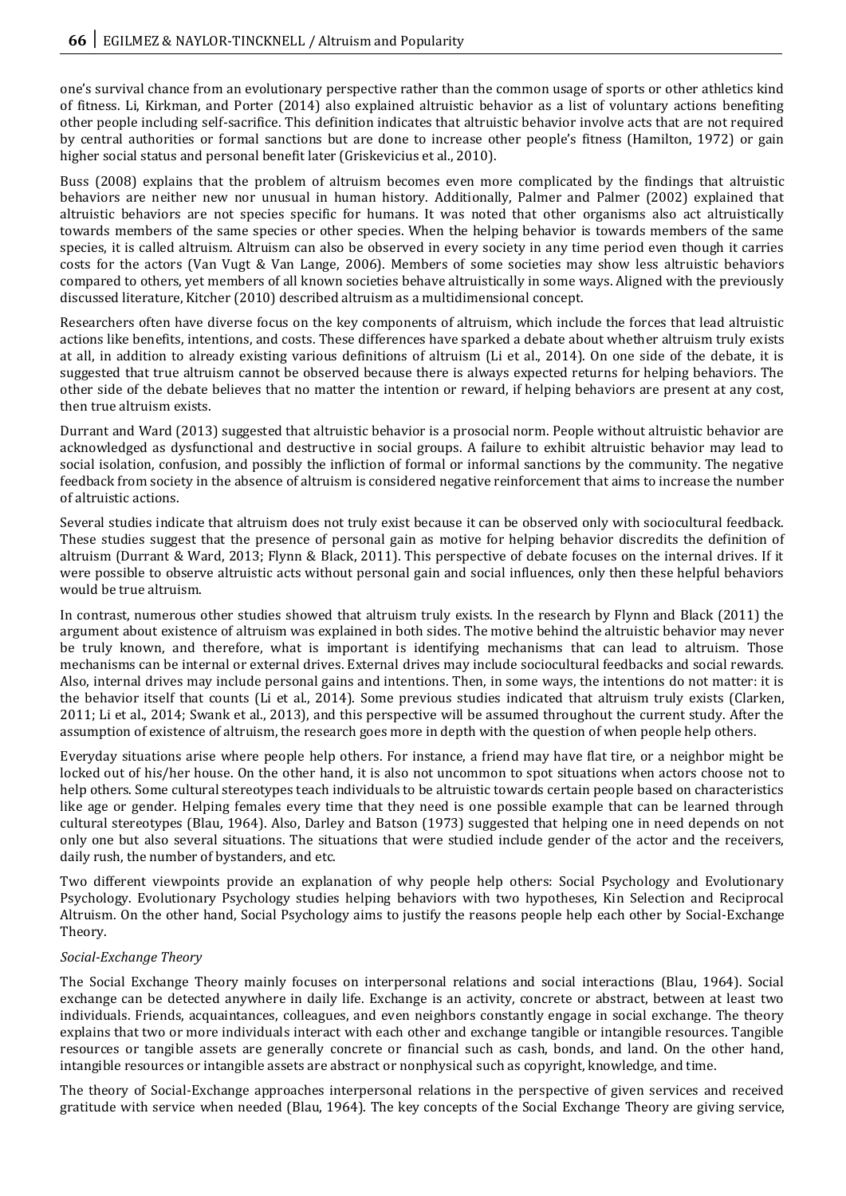one's survival chance from an evolutionary perspective rather than the common usage of sports or other athletics kind of fitness. Li, Kirkman, and Porter (2014) also explained altruistic behavior as a list of voluntary actions benefiting other people including self-sacrifice. This definition indicates that altruistic behavior involve acts that are not required by central authorities or formal sanctions but are done to increase other people's fitness (Hamilton, 1972) or gain higher social status and personal benefit later (Griskevicius et al., 2010).

Buss (2008) explains that the problem of altruism becomes even more complicated by the findings that altruistic behaviors are neither new nor unusual in human history. Additionally, Palmer and Palmer (2002) explained that altruistic behaviors are not species specific for humans. It was noted that other organisms also act altruistically towards members of the same species or other species. When the helping behavior is towards members of the same species, it is called altruism. Altruism can also be observed in every society in any time period even though it carries costs for the actors (Van Vugt & Van Lange, 2006). Members of some societies may show less altruistic behaviors compared to others, yet members of all known societies behave altruistically in some ways. Aligned with the previously discussed literature, Kitcher (2010) described altruism as a multidimensional concept.

Researchers often have diverse focus on the key components of altruism, which include the forces that lead altruistic actions like benefits, intentions, and costs. These differences have sparked a debate about whether altruism truly exists at all, in addition to already existing various definitions of altruism (Li et al., 2014). On one side of the debate, it is suggested that true altruism cannot be observed because there is always expected returns for helping behaviors. The other side of the debate believes that no matter the intention or reward, if helping behaviors are present at any cost, then true altruism exists.

Durrant and Ward (2013) suggested that altruistic behavior is a prosocial norm. People without altruistic behavior are acknowledged as dysfunctional and destructive in social groups. A failure to exhibit altruistic behavior may lead to social isolation, confusion, and possibly the infliction of formal or informal sanctions by the community. The negative feedback from society in the absence of altruism is considered negative reinforcement that aims to increase the number of altruistic actions.

Several studies indicate that altruism does not truly exist because it can be observed only with sociocultural feedback. These studies suggest that the presence of personal gain as motive for helping behavior discredits the definition of altruism (Durrant & Ward, 2013; Flynn & Black, 2011). This perspective of debate focuses on the internal drives. If it were possible to observe altruistic acts without personal gain and social influences, only then these helpful behaviors would be true altruism.

In contrast, numerous other studies showed that altruism truly exists. In the research by Flynn and Black (2011) the argument about existence of altruism was explained in both sides. The motive behind the altruistic behavior may never be truly known, and therefore, what is important is identifying mechanisms that can lead to altruism. Those mechanisms can be internal or external drives. External drives may include sociocultural feedbacks and social rewards. Also, internal drives may include personal gains and intentions. Then, in some ways, the intentions do not matter: it is the behavior itself that counts (Li et al., 2014). Some previous studies indicated that altruism truly exists (Clarken, 2011; Li et al., 2014; Swank et al., 2013), and this perspective will be assumed throughout the current study. After the assumption of existence of altruism, the research goes more in depth with the question of when people help others.

Everyday situations arise where people help others. For instance, a friend may have flat tire, or a neighbor might be locked out of his/her house. On the other hand, it is also not uncommon to spot situations when actors choose not to help others. Some cultural stereotypes teach individuals to be altruistic towards certain people based on characteristics like age or gender. Helping females every time that they need is one possible example that can be learned through cultural stereotypes (Blau, 1964). Also, Darley and Batson (1973) suggested that helping one in need depends on not only one but also several situations. The situations that were studied include gender of the actor and the receivers, daily rush, the number of bystanders, and etc.

Two different viewpoints provide an explanation of why people help others: Social Psychology and Evolutionary Psychology. Evolutionary Psychology studies helping behaviors with two hypotheses, Kin Selection and Reciprocal Altruism. On the other hand, Social Psychology aims to justify the reasons people help each other by Social-Exchange Theory.

### *Social-Exchange Theory*

The Social Exchange Theory mainly focuses on interpersonal relations and social interactions (Blau, 1964). Social exchange can be detected anywhere in daily life. Exchange is an activity, concrete or abstract, between at least two individuals. Friends, acquaintances, colleagues, and even neighbors constantly engage in social exchange. The theory explains that two or more individuals interact with each other and exchange tangible or intangible resources. Tangible resources or tangible assets are generally concrete or financial such as cash, bonds, and land. On the other hand, intangible resources or intangible assets are abstract or nonphysical such as copyright, knowledge, and time.

The theory of Social-Exchange approaches interpersonal relations in the perspective of given services and received gratitude with service when needed (Blau, 1964). The key concepts of the Social Exchange Theory are giving service,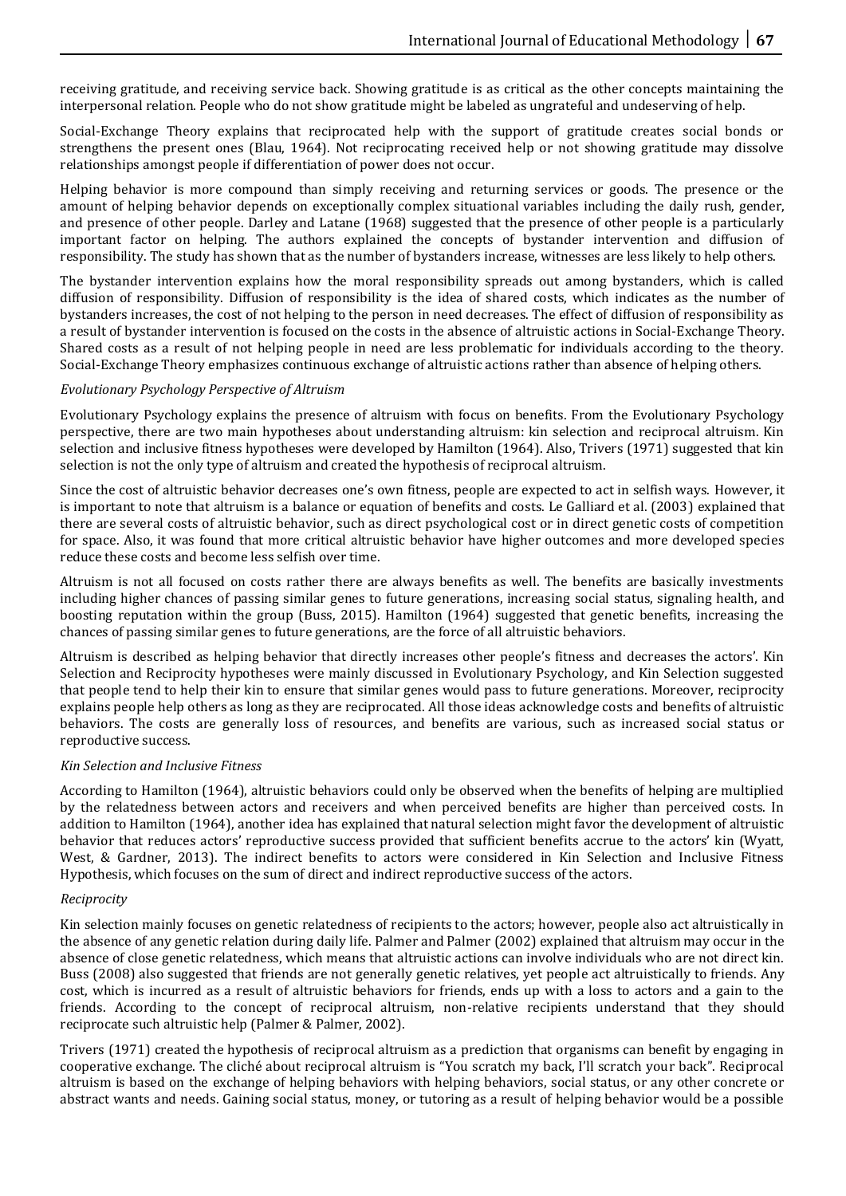receiving gratitude, and receiving service back. Showing gratitude is as critical as the other concepts maintaining the interpersonal relation. People who do not show gratitude might be labeled as ungrateful and undeserving of help.

Social-Exchange Theory explains that reciprocated help with the support of gratitude creates social bonds or strengthens the present ones (Blau, 1964). Not reciprocating received help or not showing gratitude may dissolve relationships amongst people if differentiation of power does not occur.

Helping behavior is more compound than simply receiving and returning services or goods. The presence or the amount of helping behavior depends on exceptionally complex situational variables including the daily rush, gender, and presence of other people. Darley and Latane (1968) suggested that the presence of other people is a particularly important factor on helping. The authors explained the concepts of bystander intervention and diffusion of responsibility. The study has shown that as the number of bystanders increase, witnesses are less likely to help others.

The bystander intervention explains how the moral responsibility spreads out among bystanders, which is called diffusion of responsibility. Diffusion of responsibility is the idea of shared costs, which indicates as the number of bystanders increases, the cost of not helping to the person in need decreases. The effect of diffusion of responsibility as a result of bystander intervention is focused on the costs in the absence of altruistic actions in Social-Exchange Theory. Shared costs as a result of not helping people in need are less problematic for individuals according to the theory. Social-Exchange Theory emphasizes continuous exchange of altruistic actions rather than absence of helping others.

## *Evolutionary Psychology Perspective of Altruism*

Evolutionary Psychology explains the presence of altruism with focus on benefits. From the Evolutionary Psychology perspective, there are two main hypotheses about understanding altruism: kin selection and reciprocal altruism. Kin selection and inclusive fitness hypotheses were developed by Hamilton (1964). Also, Trivers (1971) suggested that kin selection is not the only type of altruism and created the hypothesis of reciprocal altruism.

Since the cost of altruistic behavior decreases one's own fitness, people are expected to act in selfish ways. However, it is important to note that altruism is a balance or equation of benefits and costs. Le Galliard et al. (2003) explained that there are several costs of altruistic behavior, such as direct psychological cost or in direct genetic costs of competition for space. Also, it was found that more critical altruistic behavior have higher outcomes and more developed species reduce these costs and become less selfish over time.

Altruism is not all focused on costs rather there are always benefits as well. The benefits are basically investments including higher chances of passing similar genes to future generations, increasing social status, signaling health, and boosting reputation within the group (Buss, 2015). Hamilton (1964) suggested that genetic benefits, increasing the chances of passing similar genes to future generations, are the force of all altruistic behaviors.

Altruism is described as helping behavior that directly increases other people's fitness and decreases the actors'. Kin Selection and Reciprocity hypotheses were mainly discussed in Evolutionary Psychology, and Kin Selection suggested that people tend to help their kin to ensure that similar genes would pass to future generations. Moreover, reciprocity explains people help others as long as they are reciprocated. All those ideas acknowledge costs and benefits of altruistic behaviors. The costs are generally loss of resources, and benefits are various, such as increased social status or reproductive success.

### *Kin Selection and Inclusive Fitness*

According to Hamilton (1964), altruistic behaviors could only be observed when the benefits of helping are multiplied by the relatedness between actors and receivers and when perceived benefits are higher than perceived costs. In addition to Hamilton (1964), another idea has explained that natural selection might favor the development of altruistic behavior that reduces actors' reproductive success provided that sufficient benefits accrue to the actors' kin (Wyatt, West, & Gardner, 2013). The indirect benefits to actors were considered in Kin Selection and Inclusive Fitness Hypothesis, which focuses on the sum of direct and indirect reproductive success of the actors.

### *Reciprocity*

Kin selection mainly focuses on genetic relatedness of recipients to the actors; however, people also act altruistically in the absence of any genetic relation during daily life. Palmer and Palmer (2002) explained that altruism may occur in the absence of close genetic relatedness, which means that altruistic actions can involve individuals who are not direct kin. Buss (2008) also suggested that friends are not generally genetic relatives, yet people act altruistically to friends. Any cost, which is incurred as a result of altruistic behaviors for friends, ends up with a loss to actors and a gain to the friends. According to the concept of reciprocal altruism, non-relative recipients understand that they should reciprocate such altruistic help (Palmer & Palmer, 2002).

Trivers (1971) created the hypothesis of reciprocal altruism as a prediction that organisms can benefit by engaging in cooperative exchange. The cliché about reciprocal altruism is "You scratch my back, I'll scratch your back". Reciprocal altruism is based on the exchange of helping behaviors with helping behaviors, social status, or any other concrete or abstract wants and needs. Gaining social status, money, or tutoring as a result of helping behavior would be a possible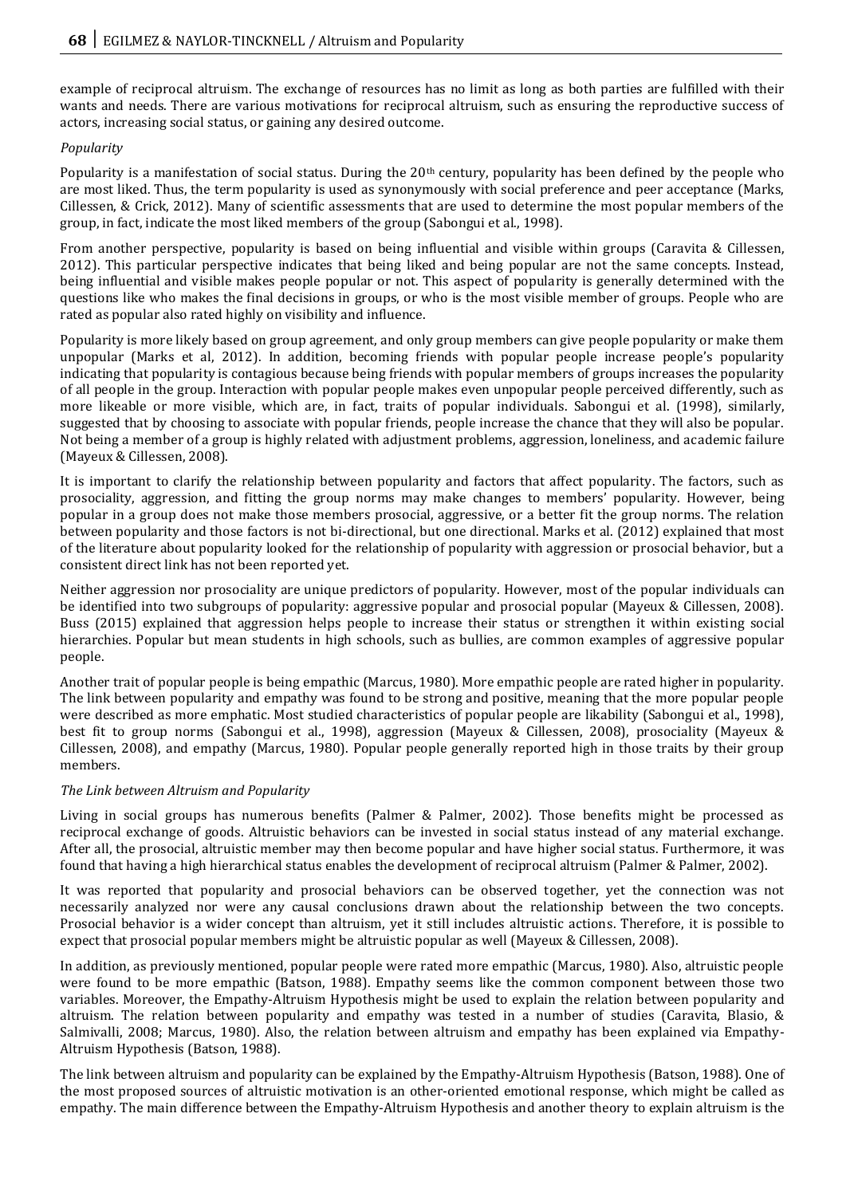example of reciprocal altruism. The exchange of resources has no limit as long as both parties are fulfilled with their wants and needs. There are various motivations for reciprocal altruism, such as ensuring the reproductive success of actors, increasing social status, or gaining any desired outcome.

## *Popularity*

Popularity is a manifestation of social status. During the  $20<sup>th</sup>$  century, popularity has been defined by the people who are most liked. Thus, the term popularity is used as synonymously with social preference and peer acceptance (Marks, Cillessen, & Crick, 2012). Many of scientific assessments that are used to determine the most popular members of the group, in fact, indicate the most liked members of the group (Sabongui et al., 1998).

From another perspective, popularity is based on being influential and visible within groups (Caravita & Cillessen, 2012). This particular perspective indicates that being liked and being popular are not the same concepts. Instead, being influential and visible makes people popular or not. This aspect of popularity is generally determined with the questions like who makes the final decisions in groups, or who is the most visible member of groups. People who are rated as popular also rated highly on visibility and influence.

Popularity is more likely based on group agreement, and only group members can give people popularity or make them unpopular (Marks et al, 2012). In addition, becoming friends with popular people increase people's popularity indicating that popularity is contagious because being friends with popular members of groups increases the popularity of all people in the group. Interaction with popular people makes even unpopular people perceived differently, such as more likeable or more visible, which are, in fact, traits of popular individuals. Sabongui et al. (1998), similarly, suggested that by choosing to associate with popular friends, people increase the chance that they will also be popular. Not being a member of a group is highly related with adjustment problems, aggression, loneliness, and academic failure (Mayeux & Cillessen, 2008).

It is important to clarify the relationship between popularity and factors that affect popularity. The factors, such as prosociality, aggression, and fitting the group norms may make changes to members' popularity. However, being popular in a group does not make those members prosocial, aggressive, or a better fit the group norms. The relation between popularity and those factors is not bi-directional, but one directional. Marks et al. (2012) explained that most of the literature about popularity looked for the relationship of popularity with aggression or prosocial behavior, but a consistent direct link has not been reported yet.

Neither aggression nor prosociality are unique predictors of popularity. However, most of the popular individuals can be identified into two subgroups of popularity: aggressive popular and prosocial popular (Mayeux & Cillessen, 2008). Buss (2015) explained that aggression helps people to increase their status or strengthen it within existing social hierarchies. Popular but mean students in high schools, such as bullies, are common examples of aggressive popular people.

Another trait of popular people is being empathic (Marcus, 1980). More empathic people are rated higher in popularity. The link between popularity and empathy was found to be strong and positive, meaning that the more popular people were described as more emphatic. Most studied characteristics of popular people are likability (Sabongui et al., 1998), best fit to group norms (Sabongui et al., 1998), aggression (Mayeux & Cillessen, 2008), prosociality (Mayeux & Cillessen, 2008), and empathy (Marcus, 1980). Popular people generally reported high in those traits by their group members.

# *The Link between Altruism and Popularity*

Living in social groups has numerous benefits (Palmer & Palmer, 2002). Those benefits might be processed as reciprocal exchange of goods. Altruistic behaviors can be invested in social status instead of any material exchange. After all, the prosocial, altruistic member may then become popular and have higher social status. Furthermore, it was found that having a high hierarchical status enables the development of reciprocal altruism (Palmer & Palmer, 2002).

It was reported that popularity and prosocial behaviors can be observed together, yet the connection was not necessarily analyzed nor were any causal conclusions drawn about the relationship between the two concepts. Prosocial behavior is a wider concept than altruism, yet it still includes altruistic actions. Therefore, it is possible to expect that prosocial popular members might be altruistic popular as well (Mayeux & Cillessen, 2008).

In addition, as previously mentioned, popular people were rated more empathic (Marcus, 1980). Also, altruistic people were found to be more empathic (Batson, 1988). Empathy seems like the common component between those two variables. Moreover, the Empathy-Altruism Hypothesis might be used to explain the relation between popularity and altruism. The relation between popularity and empathy was tested in a number of studies (Caravita, Blasio, & Salmivalli, 2008; Marcus, 1980). Also, the relation between altruism and empathy has been explained via Empathy-Altruism Hypothesis (Batson, 1988).

The link between altruism and popularity can be explained by the Empathy-Altruism Hypothesis (Batson, 1988). One of the most proposed sources of altruistic motivation is an other-oriented emotional response, which might be called as empathy. The main difference between the Empathy-Altruism Hypothesis and another theory to explain altruism is the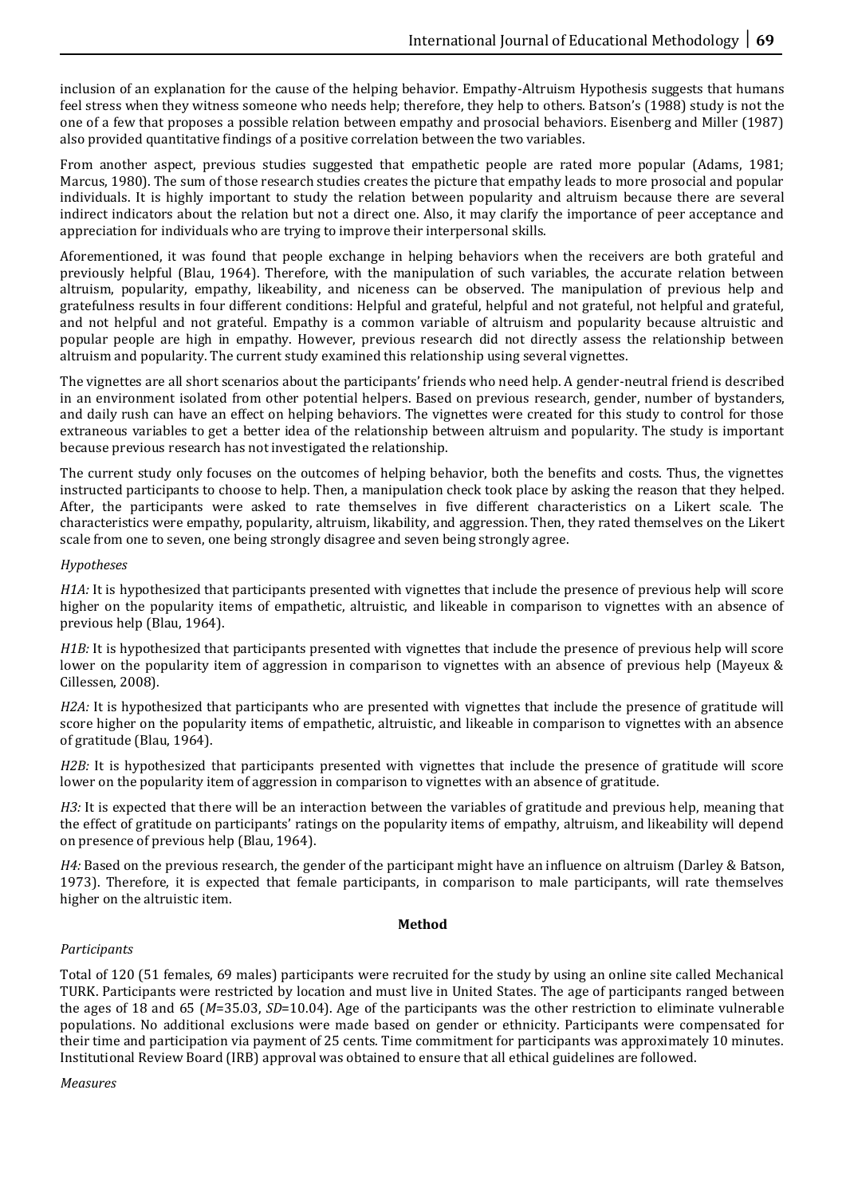inclusion of an explanation for the cause of the helping behavior. Empathy-Altruism Hypothesis suggests that humans feel stress when they witness someone who needs help; therefore, they help to others. Batson's (1988) study is not the one of a few that proposes a possible relation between empathy and prosocial behaviors. Eisenberg and Miller (1987) also provided quantitative findings of a positive correlation between the two variables.

From another aspect, previous studies suggested that empathetic people are rated more popular (Adams, 1981; Marcus, 1980). The sum of those research studies creates the picture that empathy leads to more prosocial and popular individuals. It is highly important to study the relation between popularity and altruism because there are several indirect indicators about the relation but not a direct one. Also, it may clarify the importance of peer acceptance and appreciation for individuals who are trying to improve their interpersonal skills.

Aforementioned, it was found that people exchange in helping behaviors when the receivers are both grateful and previously helpful (Blau, 1964). Therefore, with the manipulation of such variables, the accurate relation between altruism, popularity, empathy, likeability, and niceness can be observed. The manipulation of previous help and gratefulness results in four different conditions: Helpful and grateful, helpful and not grateful, not helpful and grateful, and not helpful and not grateful. Empathy is a common variable of altruism and popularity because altruistic and popular people are high in empathy. However, previous research did not directly assess the relationship between altruism and popularity. The current study examined this relationship using several vignettes.

The vignettes are all short scenarios about the participants' friends who need help. A gender-neutral friend is described in an environment isolated from other potential helpers. Based on previous research, gender, number of bystanders, and daily rush can have an effect on helping behaviors. The vignettes were created for this study to control for those extraneous variables to get a better idea of the relationship between altruism and popularity. The study is important because previous research has not investigated the relationship.

The current study only focuses on the outcomes of helping behavior, both the benefits and costs. Thus, the vignettes instructed participants to choose to help. Then, a manipulation check took place by asking the reason that they helped. After, the participants were asked to rate themselves in five different characteristics on a Likert scale. The characteristics were empathy, popularity, altruism, likability, and aggression. Then, they rated themselves on the Likert scale from one to seven, one being strongly disagree and seven being strongly agree.

## *Hypotheses*

*H1A:* It is hypothesized that participants presented with vignettes that include the presence of previous help will score higher on the popularity items of empathetic, altruistic, and likeable in comparison to vignettes with an absence of previous help (Blau, 1964).

*H1B:* It is hypothesized that participants presented with vignettes that include the presence of previous help will score lower on the popularity item of aggression in comparison to vignettes with an absence of previous help (Mayeux & Cillessen, 2008).

*H2A:* It is hypothesized that participants who are presented with vignettes that include the presence of gratitude will score higher on the popularity items of empathetic, altruistic, and likeable in comparison to vignettes with an absence of gratitude (Blau, 1964).

*H2B*: It is hypothesized that participants presented with vignettes that include the presence of gratitude will score lower on the popularity item of aggression in comparison to vignettes with an absence of gratitude.

*H3*: It is expected that there will be an interaction between the variables of gratitude and previous help, meaning that the effect of gratitude on participants' ratings on the popularity items of empathy, altruism, and likeability will depend on presence of previous help (Blau, 1964).

*H4:* Based on the previous research, the gender of the participant might have an influence on altruism (Darley & Batson, 1973). Therefore, it is expected that female participants, in comparison to male participants, will rate themselves higher on the altruistic item.

### **Method**

# *Participants*

Total of 120 (51 females, 69 males) participants were recruited for the study by using an online site called Mechanical TURK. Participants were restricted by location and must live in United States. The age of participants ranged between the ages of 18 and 65 (*M*=35.03, *SD*=10.04). Age of the participants was the other restriction to eliminate vulnerable populations. No additional exclusions were made based on gender or ethnicity. Participants were compensated for their time and participation via payment of 25 cents. Time commitment for participants was approximately 10 minutes. Institutional Review Board (IRB) approval was obtained to ensure that all ethical guidelines are followed.

*Measures*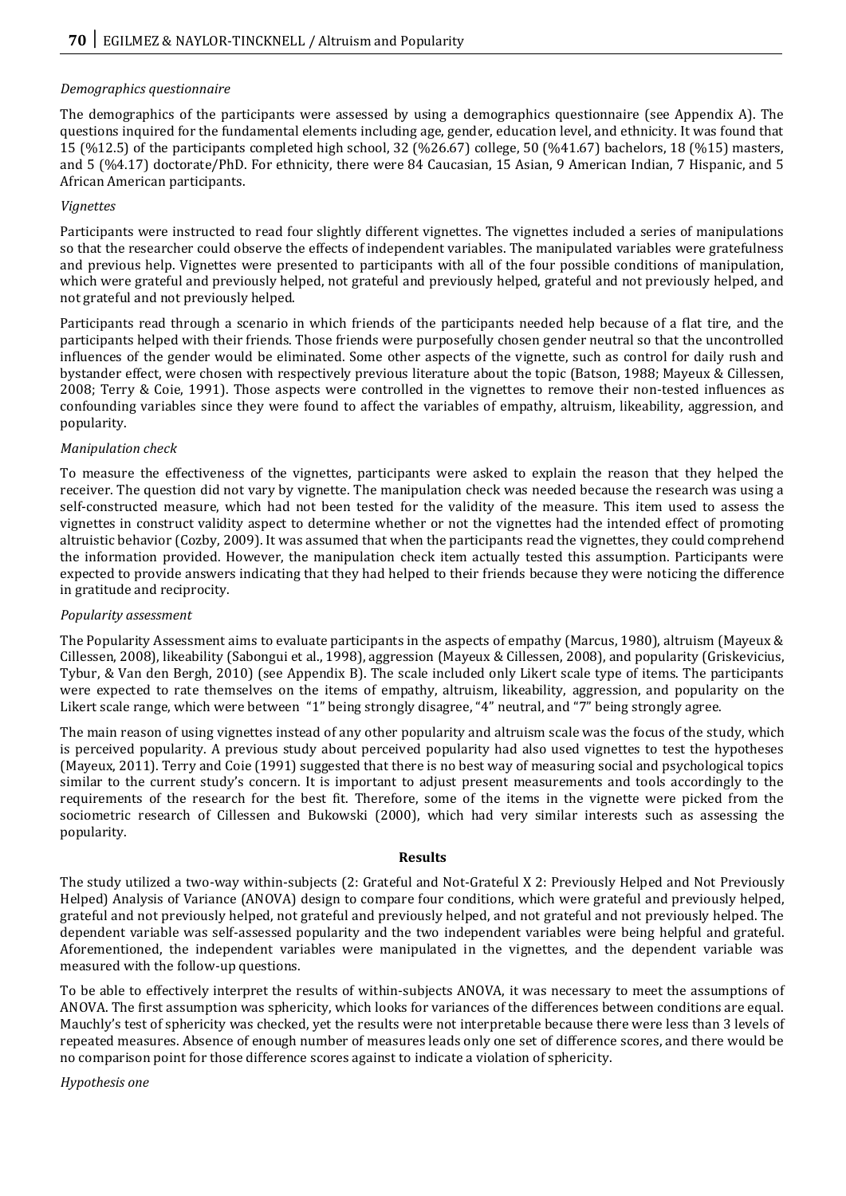### *Demographics questionnaire*

The demographics of the participants were assessed by using a demographics questionnaire (see Appendix A). The questions inquired for the fundamental elements including age, gender, education level, and ethnicity. It was found that 15 (%12.5) of the participants completed high school, 32 (%26.67) college, 50 (%41.67) bachelors, 18 (%15) masters, and 5 (%4.17) doctorate/PhD. For ethnicity, there were 84 Caucasian, 15 Asian, 9 American Indian, 7 Hispanic, and 5 African American participants.

## *Vignettes*

Participants were instructed to read four slightly different vignettes. The vignettes included a series of manipulations so that the researcher could observe the effects of independent variables. The manipulated variables were gratefulness and previous help. Vignettes were presented to participants with all of the four possible conditions of manipulation, which were grateful and previously helped, not grateful and previously helped, grateful and not previously helped, and not grateful and not previously helped.

Participants read through a scenario in which friends of the participants needed help because of a flat tire, and the participants helped with their friends. Those friends were purposefully chosen gender neutral so that the uncontrolled influences of the gender would be eliminated. Some other aspects of the vignette, such as control for daily rush and bystander effect, were chosen with respectively previous literature about the topic (Batson, 1988; Mayeux & Cillessen, 2008; Terry & Coie, 1991). Those aspects were controlled in the vignettes to remove their non-tested influences as confounding variables since they were found to affect the variables of empathy, altruism, likeability, aggression, and popularity.

### *Manipulation check*

To measure the effectiveness of the vignettes, participants were asked to explain the reason that they helped the receiver. The question did not vary by vignette. The manipulation check was needed because the research was using a self-constructed measure, which had not been tested for the validity of the measure. This item used to assess the vignettes in construct validity aspect to determine whether or not the vignettes had the intended effect of promoting altruistic behavior (Cozby, 2009). It was assumed that when the participants read the vignettes, they could comprehend the information provided. However, the manipulation check item actually tested this assumption. Participants were expected to provide answers indicating that they had helped to their friends because they were noticing the difference in gratitude and reciprocity.

### *Popularity assessment*

The Popularity Assessment aims to evaluate participants in the aspects of empathy (Marcus, 1980), altruism (Mayeux & Cillessen, 2008), likeability (Sabongui et al., 1998), aggression (Mayeux & Cillessen, 2008), and popularity (Griskevicius, Tybur, & Van den Bergh, 2010) (see Appendix B). The scale included only Likert scale type of items. The participants were expected to rate themselves on the items of empathy, altruism, likeability, aggression, and popularity on the Likert scale range, which were between "1" being strongly disagree, "4" neutral, and "7" being strongly agree.

The main reason of using vignettes instead of any other popularity and altruism scale was the focus of the study, which is perceived popularity. A previous study about perceived popularity had also used vignettes to test the hypotheses (Mayeux, 2011). Terry and Coie (1991) suggested that there is no best way of measuring social and psychological topics similar to the current study's concern. It is important to adjust present measurements and tools accordingly to the requirements of the research for the best fit. Therefore, some of the items in the vignette were picked from the sociometric research of Cillessen and Bukowski (2000), which had very similar interests such as assessing the popularity.

#### **Results**

The study utilized a two-way within-subjects (2: Grateful and Not-Grateful X 2: Previously Helped and Not Previously Helped) Analysis of Variance (ANOVA) design to compare four conditions, which were grateful and previously helped, grateful and not previously helped, not grateful and previously helped, and not grateful and not previously helped. The dependent variable was self-assessed popularity and the two independent variables were being helpful and grateful. Aforementioned, the independent variables were manipulated in the vignettes, and the dependent variable was measured with the follow-up questions.

To be able to effectively interpret the results of within-subjects ANOVA, it was necessary to meet the assumptions of ANOVA. The first assumption was sphericity, which looks for variances of the differences between conditions are equal. Mauchly's test of sphericity was checked, yet the results were not interpretable because there were less than 3 levels of repeated measures. Absence of enough number of measures leads only one set of difference scores, and there would be no comparison point for those difference scores against to indicate a violation of sphericity.

*Hypothesis one*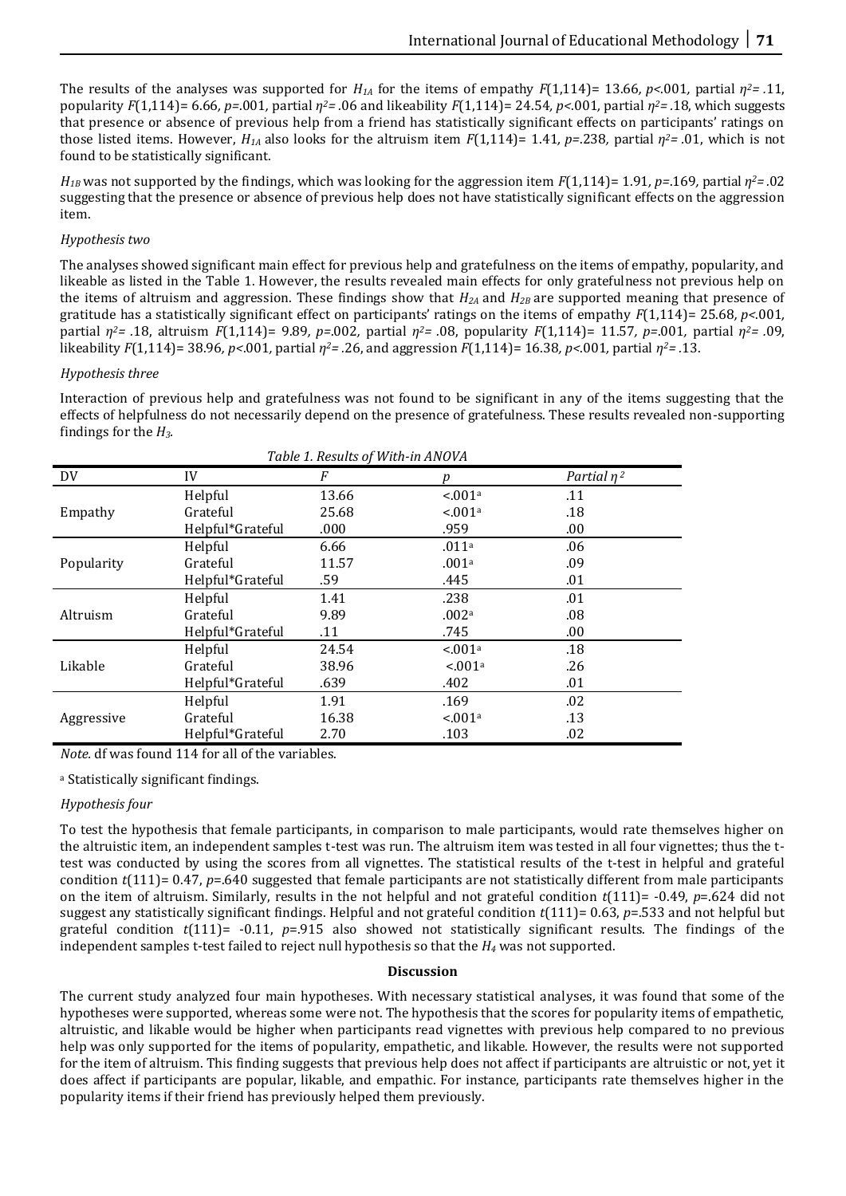The results of the analyses was supported for  $H_{1A}$  for the items of empathy  $F(1,114)=13.66$ ,  $p<.001$ , partial  $\eta^2=0.11$ , popularity *F*(1,114)= 6.66*, p=*.001*,* partial *η2= .*06 and likeability *F*(1,114)= 24.54*, p<*.001*,* partial *η2= .*18, which suggests that presence or absence of previous help from a friend has statistically significant effects on participants' ratings on those listed items. However,  $H_{1A}$  also looks for the altruism item  $F(1,114)=1.41$ ,  $p=.238$ , partial  $\eta^2 = .01$ , which is not found to be statistically significant.

*H*<sub>*IB</sub>* was not supported by the findings, which was looking for the aggression item *F*(1,114)= 1.91*, p*=.169*,* partial  $\eta^2$ =.02</sub> suggesting that the presence or absence of previous help does not have statistically significant effects on the aggression item.

### *Hypothesis two*

The analyses showed significant main effect for previous help and gratefulness on the items of empathy, popularity, and likeable as listed in the Table 1. However, the results revealed main effects for only gratefulness not previous help on the items of altruism and aggression. These findings show that  $H_{2A}$  and  $H_{2B}$  are supported meaning that presence of gratitude has a statistically significant effect on participants' ratings on the items of empathy *F*(1,114)= 25.68*, p<*.001*,* partial *η2= .*18, altruism *F*(1,114)= 9.89*, p=*.002*,* partial *η2= .*08, popularity *F*(1,114)= 11.57*, p=*.001*,* partial *η2= .*09, likeability *F*(1,114)= 38.96*, p<*.001*,* partial *η2= .*26, and aggression *F*(1,114)= 16.38*, p<*.001*,* partial *η2= .*13.

#### *Hypothesis three*

Interaction of previous help and gratefulness was not found to be significant in any of the items suggesting that the effects of helpfulness do not necessarily depend on the presence of gratefulness. These results revealed non-supporting findings for the *H3.* 

| Table 1. Results of With-in ANOVA |                  |       |                     |                  |  |
|-----------------------------------|------------------|-------|---------------------|------------------|--|
| DV.                               | IV               | F     | p                   | Partial $\eta^2$ |  |
| Empathy                           | Helpful          | 13.66 | < 001a              | .11              |  |
|                                   | Grateful         | 25.68 | < 001 <sup>a</sup>  | .18              |  |
|                                   | Helpful*Grateful | .000  | .959                | .00.             |  |
| Popularity                        | Helpful          | 6.66  | .011 <sup>a</sup>   | .06              |  |
|                                   | Grateful         | 11.57 | .001a               | .09              |  |
|                                   | Helpful*Grateful | .59   | .445                | .01              |  |
| Altruism                          | Helpful          | 1.41  | .238                | .01              |  |
|                                   | Grateful         | 9.89  | .002 <sup>a</sup>   | .08              |  |
|                                   | Helpful*Grateful | .11   | .745                | .00.             |  |
| Likable                           | Helpful          | 24.54 | < 0.01 <sup>a</sup> | .18              |  |
|                                   | Grateful         | 38.96 | < 0.01 <sup>a</sup> | .26              |  |
|                                   | Helpful*Grateful | .639  | .402                | .01              |  |
| Aggressive                        | Helpful          | 1.91  | .169                | .02              |  |
|                                   | Grateful         | 16.38 | < 0.01 <sup>a</sup> | .13              |  |
|                                   | Helpful*Grateful | 2.70  | .103                | .02              |  |

*Note.* df was found 114 for all of the variables.

<sup>a</sup> Statistically significant findings.

### *Hypothesis four*

To test the hypothesis that female participants, in comparison to male participants, would rate themselves higher on the altruistic item, an independent samples t-test was run. The altruism item was tested in all four vignettes; thus the ttest was conducted by using the scores from all vignettes. The statistical results of the t-test in helpful and grateful condition  $t(111)= 0.47$ ,  $p=0.640$  suggested that female participants are not statistically different from male participants on the item of altruism. Similarly, results in the not helpful and not grateful condition *t*(111)= -0.49, *p*=.624 did not suggest any statistically significant findings. Helpful and not grateful condition *t*(111)= 0.63, *p*=.533 and not helpful but grateful condition  $t(111)$ = -0.11,  $p=0.915$  also showed not statistically significant results. The findings of the independent samples t-test failed to reject null hypothesis so that the *H<sup>4</sup>* was not supported.

#### **Discussion**

The current study analyzed four main hypotheses. With necessary statistical analyses, it was found that some of the hypotheses were supported, whereas some were not. The hypothesis that the scores for popularity items of empathetic, altruistic, and likable would be higher when participants read vignettes with previous help compared to no previous help was only supported for the items of popularity, empathetic, and likable. However, the results were not supported for the item of altruism. This finding suggests that previous help does not affect if participants are altruistic or not, yet it does affect if participants are popular, likable, and empathic. For instance, participants rate themselves higher in the popularity items if their friend has previously helped them previously.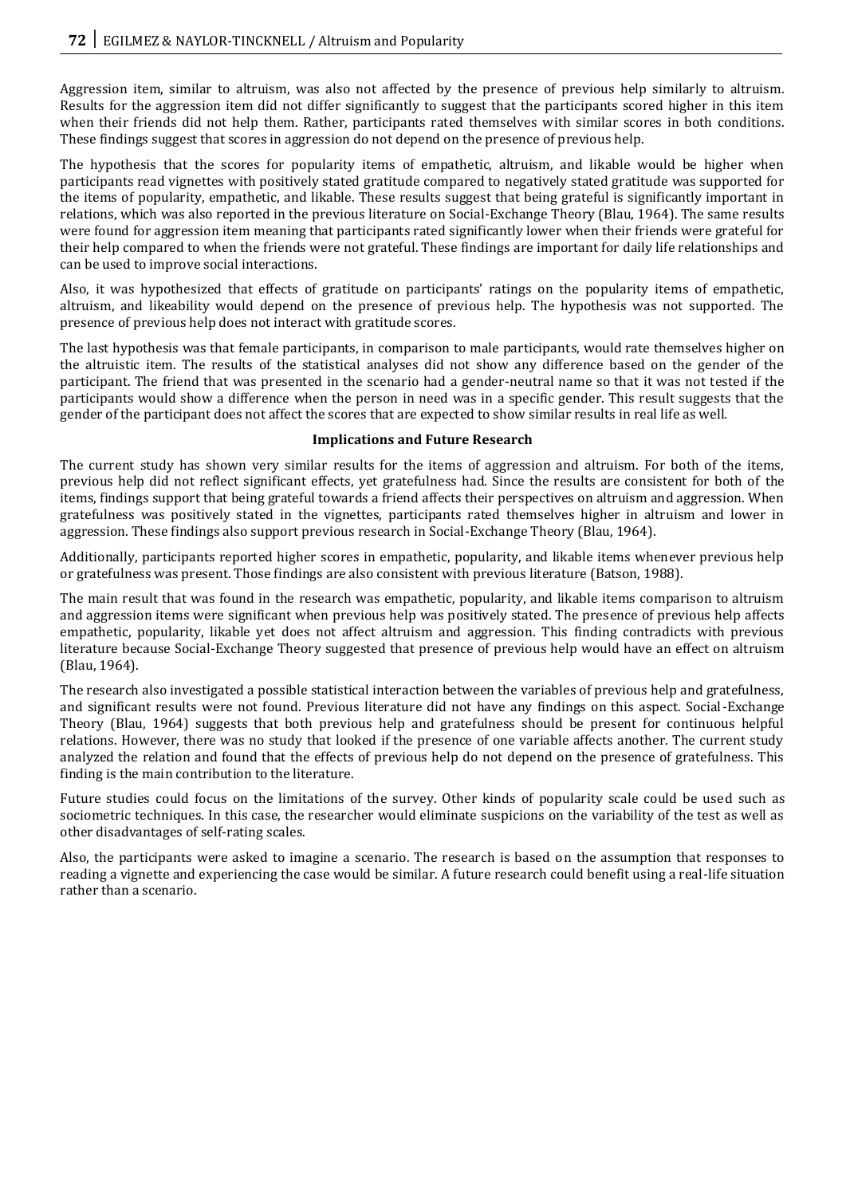Aggression item, similar to altruism, was also not affected by the presence of previous help similarly to altruism. Results for the aggression item did not differ significantly to suggest that the participants scored higher in this item when their friends did not help them. Rather, participants rated themselves with similar scores in both conditions. These findings suggest that scores in aggression do not depend on the presence of previous help.

The hypothesis that the scores for popularity items of empathetic, altruism, and likable would be higher when participants read vignettes with positively stated gratitude compared to negatively stated gratitude was supported for the items of popularity, empathetic, and likable. These results suggest that being grateful is significantly important in relations, which was also reported in the previous literature on Social-Exchange Theory (Blau, 1964). The same results were found for aggression item meaning that participants rated significantly lower when their friends were grateful for their help compared to when the friends were not grateful. These findings are important for daily life relationships and can be used to improve social interactions.

Also, it was hypothesized that effects of gratitude on participants' ratings on the popularity items of empathetic, altruism, and likeability would depend on the presence of previous help. The hypothesis was not supported. The presence of previous help does not interact with gratitude scores.

The last hypothesis was that female participants, in comparison to male participants, would rate themselves higher on the altruistic item. The results of the statistical analyses did not show any difference based on the gender of the participant. The friend that was presented in the scenario had a gender-neutral name so that it was not tested if the participants would show a difference when the person in need was in a specific gender. This result suggests that the gender of the participant does not affect the scores that are expected to show similar results in real life as well.

### **Implications and Future Research**

The current study has shown very similar results for the items of aggression and altruism. For both of the items, previous help did not reflect significant effects, yet gratefulness had. Since the results are consistent for both of the items, findings support that being grateful towards a friend affects their perspectives on altruism and aggression. When gratefulness was positively stated in the vignettes, participants rated themselves higher in altruism and lower in aggression. These findings also support previous research in Social-Exchange Theory (Blau, 1964).

Additionally, participants reported higher scores in empathetic, popularity, and likable items whenever previous help or gratefulness was present. Those findings are also consistent with previous literature (Batson, 1988).

The main result that was found in the research was empathetic, popularity, and likable items comparison to altruism and aggression items were significant when previous help was positively stated. The presence of previous help affects empathetic, popularity, likable yet does not affect altruism and aggression. This finding contradicts with previous literature because Social-Exchange Theory suggested that presence of previous help would have an effect on altruism (Blau, 1964).

The research also investigated a possible statistical interaction between the variables of previous help and gratefulness, and significant results were not found. Previous literature did not have any findings on this aspect. Social-Exchange Theory (Blau, 1964) suggests that both previous help and gratefulness should be present for continuous helpful relations. However, there was no study that looked if the presence of one variable affects another. The current study analyzed the relation and found that the effects of previous help do not depend on the presence of gratefulness. This finding is the main contribution to the literature.

Future studies could focus on the limitations of the survey. Other kinds of popularity scale could be used such as sociometric techniques. In this case, the researcher would eliminate suspicions on the variability of the test as well as other disadvantages of self-rating scales.

Also, the participants were asked to imagine a scenario. The research is based on the assumption that responses to reading a vignette and experiencing the case would be similar. A future research could benefit using a real-life situation rather than a scenario.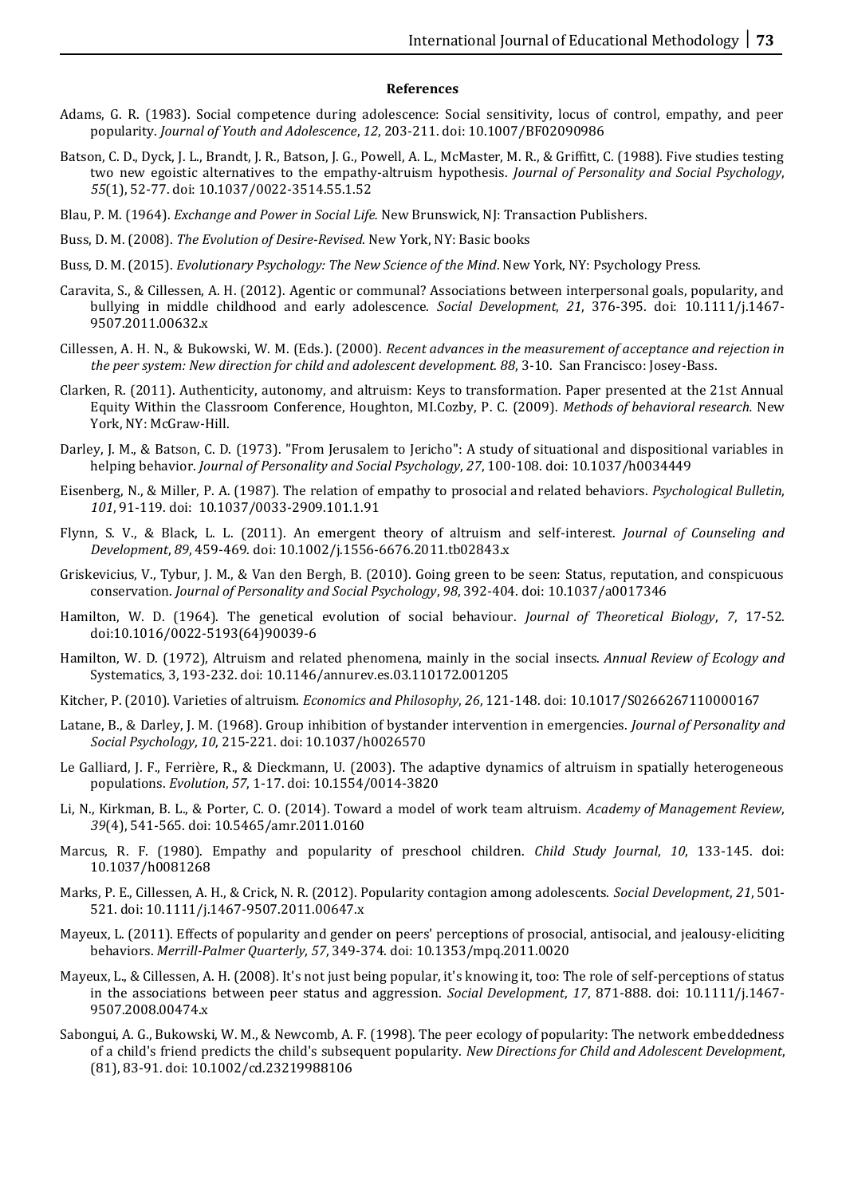#### **References**

- Adams, G. R. (1983). Social competence during adolescence: Social sensitivity, locus of control, empathy, and peer popularity. *Journal of Youth and Adolescence*, *12*, 203-211. doi: 10.1007/BF02090986
- Batson, C. D., Dyck, J. L., Brandt, J. R., Batson, J. G., Powell, A. L., McMaster, M. R., & Griffitt, C. (1988). Five studies testing two new egoistic alternatives to the empathy-altruism hypothesis. *Journal of Personality and Social Psychology*, *55*(1), 52-77. doi: 10.1037/0022-3514.55.1.52
- Blau, P. M. (1964). *Exchange and Power in Social Life.* New Brunswick, NJ: Transaction Publishers.
- Buss, D. M. (2008). *The Evolution of Desire-Revised*. New York, NY: Basic books
- Buss, D. M. (2015). *Evolutionary Psychology: The New Science of the Mind*. New York, NY: Psychology Press.
- Caravita, S., & Cillessen, A. H. (2012). Agentic or communal? Associations between interpersonal goals, popularity, and bullying in middle childhood and early adolescence. *Social Development*, *21*, 376-395. doi: 10.1111/j.1467- 9507.2011.00632.x
- Cillessen, A. H. N., & Bukowski, W. M. (Eds.). (2000). *Recent advances in the measurement of acceptance and rejection in the peer system: New direction for child and adolescent development. 88*, 3-10. San Francisco: Josey-Bass.
- Clarken, R. (2011). Authenticity, autonomy, and altruism: Keys to transformation. Paper presented at the 21st Annual Equity Within the Classroom Conference, Houghton, MI.Cozby, P. C. (2009). *Methods of behavioral research.* New York, NY: McGraw-Hill.
- Darley, J. M., & Batson, C. D. (1973). "From Jerusalem to Jericho": A study of situational and dispositional variables in helping behavior. *Journal of Personality and Social Psychology*, *27*, 100-108. doi: 10.1037/h0034449
- Eisenberg, N., & Miller, P. A. (1987). The relation of empathy to prosocial and related behaviors. *Psychological Bulletin*, *101*, 91-119. doi: 10.1037/0033-2909.101.1.91
- Flynn, S. V., & Black, L. L. (2011). An emergent theory of altruism and self-interest. *Journal of Counseling and Development*, *89*, 459-469. doi: 10.1002/j.1556-6676.2011.tb02843.x
- Griskevicius, V., Tybur, J. M., & Van den Bergh, B. (2010). Going green to be seen: Status, reputation, and conspicuous conservation. *Journal of Personality and Social Psychology*, *98*, 392-404. doi: 10.1037/a0017346
- Hamilton, W. D. (1964). The genetical evolution of social behaviour. *Journal of Theoretical Biology*, *7*, 17-52. doi:10.1016/0022-5193(64)90039-6
- Hamilton, W. D. (1972), Altruism and related phenomena, mainly in the social insects. *Annual Review of Ecology and*  Systematics, 3, 193-232. doi: 10.1146/annurev.es.03.110172.001205
- Kitcher, P. (2010). Varieties of altruism. *Economics and Philosophy*, *26*, 121-148. doi: 10.1017/S0266267110000167
- Latane, B., & Darley, J. M. (1968). Group inhibition of bystander intervention in emergencies. *Journal of Personality and Social Psychology*, *10*, 215-221. doi: 10.1037/h0026570
- Le Galliard, J. F., Ferrière, R., & Dieckmann, U. (2003). The adaptive dynamics of altruism in spatially heterogeneous populations. *Evolution*, *57*, 1-17. doi: 10.1554/0014-3820
- Li, N., Kirkman, B. L., & Porter, C. O. (2014). Toward a model of work team altruism. *Academy of Management Review*, *39*(4), 541-565. doi: 10.5465/amr.2011.0160
- Marcus, R. F. (1980). Empathy and popularity of preschool children. *Child Study Journal*, *10*, 133-145. doi: 10.1037/h0081268
- Marks, P. E., Cillessen, A. H., & Crick, N. R. (2012). Popularity contagion among adolescents. *Social Development*, *21*, 501- 521. doi: 10.1111/j.1467-9507.2011.00647.x
- Mayeux, L. (2011). Effects of popularity and gender on peers' perceptions of prosocial, antisocial, and jealousy-eliciting behaviors. *Merrill-Palmer Quarterly*, *57*, 349-374. doi: 10.1353/mpq.2011.0020
- Mayeux, L., & Cillessen, A. H. (2008). It's not just being popular, it's knowing it, too: The role of self‐perceptions of status in the associations between peer status and aggression. *Social Development*, *17*, 871-888. doi: 10.1111/j.1467- 9507.2008.00474.x
- Sabongui, A. G., Bukowski, W. M., & Newcomb, A. F. (1998). The peer ecology of popularity: The network embeddedness of a child's friend predicts the child's subsequent popularity. *New Directions for Child and Adolescent Development*, (81), 83-91. doi: 10.1002/cd.23219988106